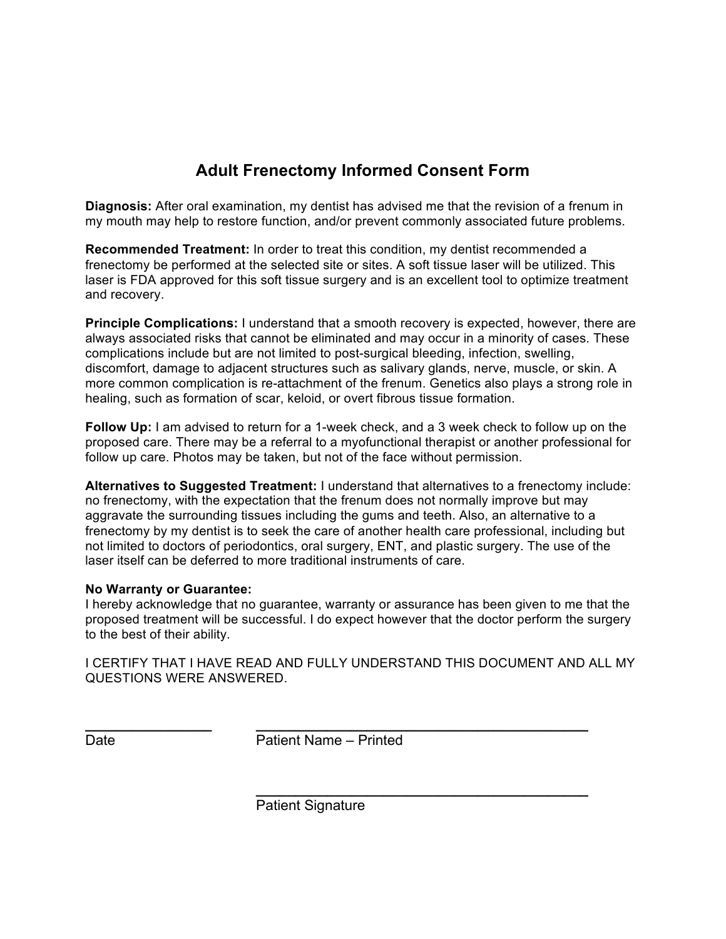## **Adult Frenectomy Informed Consent Form**

**Diagnosis:** After oral examination, my dentist has advised me that the revision of a frenum in my mouth may help to restore function, and/or prevent commonly associated future problems.

**Recommended Treatment:** In order to treat this condition, my dentist recommended a frenectomy be performed at the selected site or sites. A soft tissue laser will be utilized. This laser is FDA approved for this soft tissue surgery and is an excellent tool to optimize treatment and recovery.

**Principle Complications:** I understand that a smooth recovery is expected, however, there are always associated risks that cannot be eliminated and may occur in a minority of cases. These complications include but are not limited to post-surgical bleeding, infection, swelling, discomfort, damage to adjacent structures such as salivary glands, nerve, muscle, or skin. A more common complication is re-attachment of the frenum. Genetics also plays a strong role in healing, such as formation of scar, keloid, or overt fibrous tissue formation.

**Follow Up:** I am advised to return for a 1-week check, and a 3 week check to follow up on the proposed care. There may be a referral to a myofunctional therapist or another professional for follow up care. Photos may be taken, but not of the face without permission.

**Alternatives to Suggested Treatment:** I understand that alternatives to a frenectomy include: no frenectomy, with the expectation that the frenum does not normally improve but may aggravate the surrounding tissues including the gums and teeth. Also, an alternative to a frenectomy by my dentist is to seek the care of another health care professional, including but not limited to doctors of periodontics, oral surgery, ENT, and plastic surgery. The use of the laser itself can be deferred to more traditional instruments of care.

## **No Warranty or Guarantee:**

I hereby acknowledge that no guarantee, warranty or assurance has been given to me that the proposed treatment will be successful. I do expect however that the doctor perform the surgery to the best of their ability.

I CERTIFY THAT I HAVE READ AND FULLY UNDERSTAND THIS DOCUMENT AND ALL MY QUESTIONS WERE ANSWERED.

Date **Patient Name – Printed** 

**\_\_\_\_\_\_\_\_\_\_\_\_\_\_\_\_ \_\_\_\_\_\_\_\_\_\_\_\_\_\_\_\_\_\_\_\_\_\_\_\_\_\_\_\_\_\_\_\_\_\_\_\_\_\_\_\_\_\_** 

 **\_\_\_\_\_\_\_\_\_\_\_\_\_\_\_\_\_\_\_\_\_\_\_\_\_\_\_\_\_\_\_\_\_\_\_\_\_\_\_\_\_\_**  Patient Signature